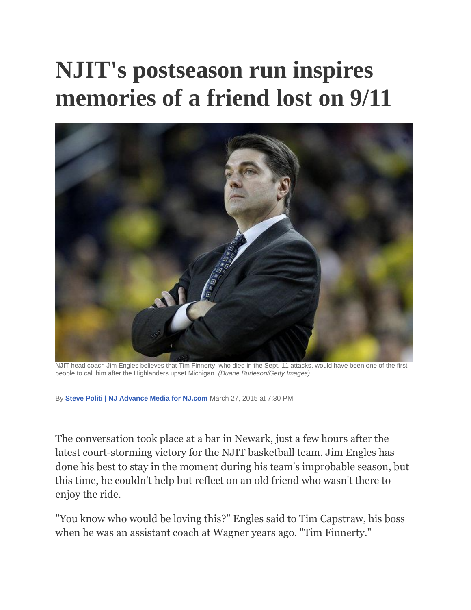## **NJIT's postseason run inspires memories of a friend lost on 9/11**



NJIT head coach Jim Engles believes that Tim Finnerty, who died in the Sept. 11 attacks, would have been one of the first people to call him after the Highlanders upset Michigan. *(Duane Burleson/Getty Images)*

By **[Steve Politi | NJ Advance Media for NJ.com](http://connect.nj.com/staff/spoliti/posts.html)** March 27, 2015 at 7:30 PM

The conversation took place at a bar in Newark, just a few hours after the latest court-storming victory for the NJIT basketball team. Jim Engles has done his best to stay in the moment during his team's improbable season, but this time, he couldn't help but reflect on an old friend who wasn't there to enjoy the ride.

"You know who would be loving this?" Engles said to Tim Capstraw, his boss when he was an assistant coach at Wagner years ago. "Tim Finnerty."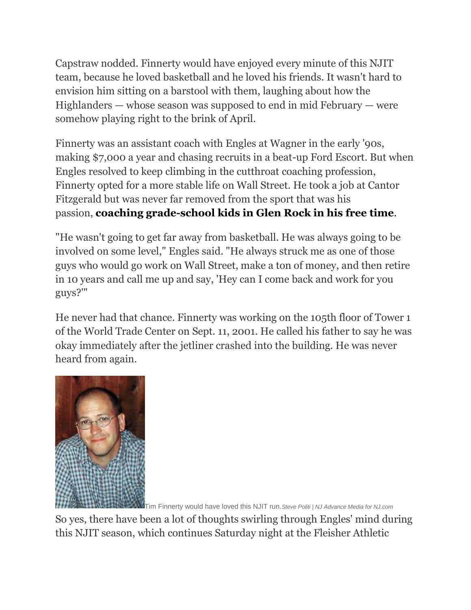Capstraw nodded. Finnerty would have enjoyed every minute of this NJIT team, because he loved basketball and he loved his friends. It wasn't hard to envision him sitting on a barstool with them, laughing about how the Highlanders — whose season was supposed to end in mid February — were somehow playing right to the brink of April.

Finnerty was an assistant coach with Engles at Wagner in the early '90s, making \$7,000 a year and chasing recruits in a beat-up Ford Escort. But when Engles resolved to keep climbing in the cutthroat coaching profession, Finnerty opted for a more stable life on Wall Street. He took a job at Cantor Fitzgerald but was never far removed from the sport that was his passion, **[coaching grade-school kids in Glen Rock in his free time](http://a.espncdn.com/ncb/columns/wojnarowski_adrian/1482544.html)**.

"He wasn't going to get far away from basketball. He was always going to be involved on some level," Engles said. "He always struck me as one of those guys who would go work on Wall Street, make a ton of money, and then retire in 10 years and call me up and say, 'Hey can I come back and work for you guys?'"

He never had that chance. Finnerty was working on the 105th floor of Tower 1 of the World Trade Center on Sept. 11, 2001. He called his father to say he was okay immediately after the jetliner crashed into the building. He was never heard from again.



Tim Finnerty would have loved this NJIT run.*Steve Politi | NJ Advance Media for NJ.com*

So yes, there have been a lot of thoughts swirling through Engles' mind during this NJIT season, which continues Saturday night at the Fleisher Athletic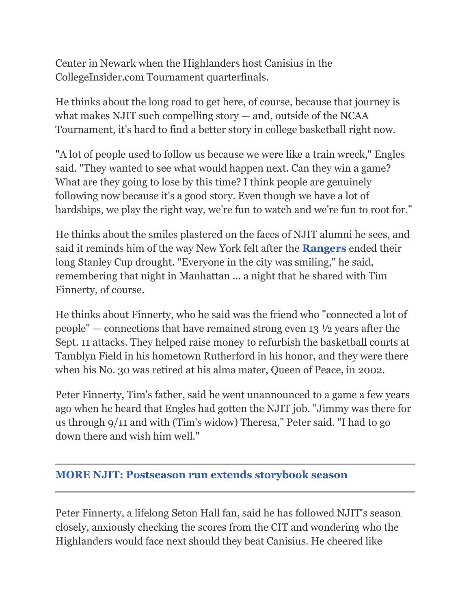Center in Newark when the Highlanders host Canisius in the CollegeInsider.com Tournament quarterfinals.

He thinks about the long road to get here, of course, because that journey is what makes NJIT such compelling story — and, outside of the NCAA Tournament, it's hard to find a better story in college basketball right now.

"A lot of people used to follow us because we were like a train wreck," Engles said. "They wanted to see what would happen next. Can they win a game? What are they going to lose by this time? I think people are genuinely following now because it's a good story. Even though we have a lot of hardships, we play the right way, we're fun to watch and we're fun to root for."

He thinks about the smiles plastered on the faces of NJIT alumni he sees, and said it reminds him of the way New York felt after the **[Rangers](http://www.nj.com/rangers/)** ended their long Stanley Cup drought. "Everyone in the city was smiling," he said, remembering that night in Manhattan ... a night that he shared with Tim Finnerty, of course.

He thinks about Finnerty, who he said was the friend who "connected a lot of people" — connections that have remained strong even 13 ½ years after the Sept. 11 attacks. They helped raise money to refurbish the basketball courts at Tamblyn Field in his hometown Rutherford in his honor, and they were there when his No. 30 was retired at his alma mater, Queen of Peace, in 2002.

Peter Finnerty, Tim's father, said he went unannounced to a game a few years ago when he heard that Engles had gotten the NJIT job. "Jimmy was there for us through 9/11 and with (Tim's widow) Theresa," Peter said. "I had to go down there and wish him well."

## **[MORE NJIT: Postseason run extends storybook season](http://www.nj.com/rutgersbasketball/index.ssf/2015/03/postseason_run_extends_njits_storybook_season.html)**

Peter Finnerty, a lifelong Seton Hall fan, said he has followed NJIT's season closely, anxiously checking the scores from the CIT and wondering who the Highlanders would face next should they beat Canisius. He cheered like